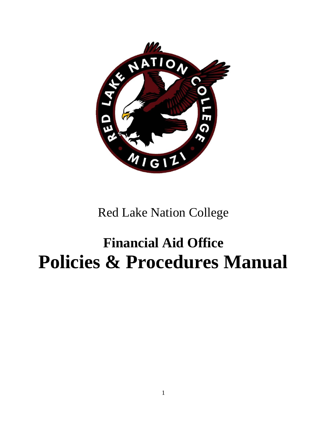

Red Lake Nation College

# **Financial Aid Office Policies & Procedures Manual**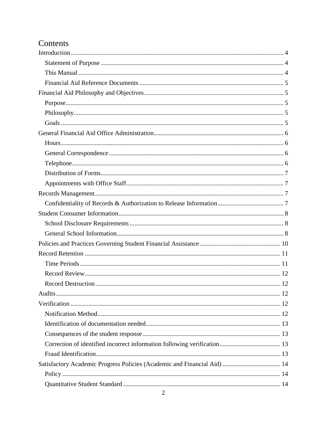# Contents

| Satisfactory Academic Progress Policies (Academic and Financial Aid)  14 |  |
|--------------------------------------------------------------------------|--|
|                                                                          |  |
|                                                                          |  |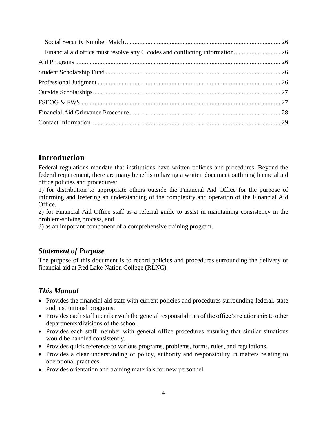# <span id="page-3-0"></span>**Introduction**

Federal regulations mandate that institutions have written policies and procedures. Beyond the federal requirement, there are many benefits to having a written document outlining financial aid office policies and procedures:

1) for distribution to appropriate others outside the Financial Aid Office for the purpose of informing and fostering an understanding of the complexity and operation of the Financial Aid Office,

2) for Financial Aid Office staff as a referral guide to assist in maintaining consistency in the problem-solving process, and

3) as an important component of a comprehensive training program.

### <span id="page-3-1"></span>*Statement of Purpose*

The purpose of this document is to record policies and procedures surrounding the delivery of financial aid at Red Lake Nation College (RLNC).

### <span id="page-3-2"></span>*This Manual*

- Provides the financial aid staff with current policies and procedures surrounding federal, state and institutional programs.
- Provides each staff member with the general responsibilities of the office's relationship to other departments/divisions of the school.
- Provides each staff member with general office procedures ensuring that similar situations would be handled consistently.
- Provides quick reference to various programs, problems, forms, rules, and regulations.
- Provides a clear understanding of policy, authority and responsibility in matters relating to operational practices.
- Provides orientation and training materials for new personnel.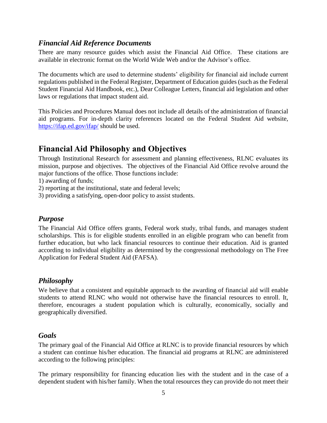### <span id="page-4-0"></span>*Financial Aid Reference Documents*

There are many resource guides which assist the Financial Aid Office. These citations are available in electronic format on the World Wide Web and/or the Advisor's office.

The documents which are used to determine students' eligibility for financial aid include current regulations published in the Federal Register, Department of Education guides (such as the Federal Student Financial Aid Handbook, etc.), Dear Colleague Letters, financial aid legislation and other laws or regulations that impact student aid.

This Policies and Procedures Manual does not include all details of the administration of financial aid programs. For in-depth clarity references located on the Federal Student Aid website, <https://ifap.ed.gov/ifap/> should be used.

# <span id="page-4-1"></span>**Financial Aid Philosophy and Objectives**

Through Institutional Research for assessment and planning effectiveness, RLNC evaluates its mission, purpose and objectives. The objectives of the Financial Aid Office revolve around the major functions of the office. Those functions include:

1) awarding of funds;

2) reporting at the institutional, state and federal levels;

3) providing a satisfying, open-door policy to assist students.

### <span id="page-4-2"></span>*Purpose*

The Financial Aid Office offers grants, Federal work study, tribal funds, and manages student scholarships. This is for eligible students enrolled in an eligible program who can benefit from further education, but who lack financial resources to continue their education. Aid is granted according to individual eligibility as determined by the congressional methodology on The Free Application for Federal Student Aid (FAFSA).

### <span id="page-4-3"></span>*Philosophy*

We believe that a consistent and equitable approach to the awarding of financial aid will enable students to attend RLNC who would not otherwise have the financial resources to enroll. It, therefore, encourages a student population which is culturally, economically, socially and geographically diversified.

### <span id="page-4-4"></span>*Goals*

The primary goal of the Financial Aid Office at RLNC is to provide financial resources by which a student can continue his/her education. The financial aid programs at RLNC are administered according to the following principles:

The primary responsibility for financing education lies with the student and in the case of a dependent student with his/her family. When the total resources they can provide do not meet their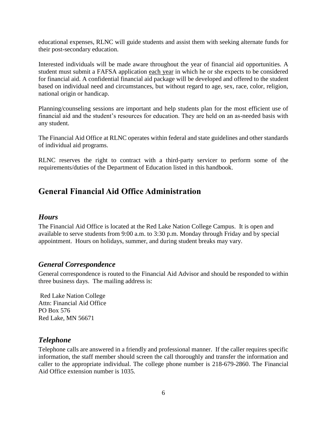educational expenses, RLNC will guide students and assist them with seeking alternate funds for their post-secondary education.

Interested individuals will be made aware throughout the year of financial aid opportunities. A student must submit a FAFSA application each year in which he or she expects to be considered for financial aid. A confidential financial aid package will be developed and offered to the student based on individual need and circumstances, but without regard to age, sex, race, color, religion, national origin or handicap.

Planning/counseling sessions are important and help students plan for the most efficient use of financial aid and the student's resources for education. They are held on an as-needed basis with any student.

The Financial Aid Office at RLNC operates within federal and state guidelines and other standards of individual aid programs.

RLNC reserves the right to contract with a third-party servicer to perform some of the requirements/duties of the Department of Education listed in this handbook.

# <span id="page-5-0"></span>**General Financial Aid Office Administration**

### <span id="page-5-1"></span>*Hours*

The Financial Aid Office is located at the Red Lake Nation College Campus. It is open and available to serve students from 9:00 a.m. to 3:30 p.m. Monday through Friday and by special appointment. Hours on holidays, summer, and during student breaks may vary.

### <span id="page-5-2"></span>*General Correspondence*

General correspondence is routed to the Financial Aid Advisor and should be responded to within three business days. The mailing address is:

Red Lake Nation College Attn: Financial Aid Office PO Box 576 Red Lake, MN 56671

### <span id="page-5-3"></span>*Telephone*

Telephone calls are answered in a friendly and professional manner. If the caller requires specific information, the staff member should screen the call thoroughly and transfer the information and caller to the appropriate individual. The college phone number is 218-679-2860. The Financial Aid Office extension number is 1035.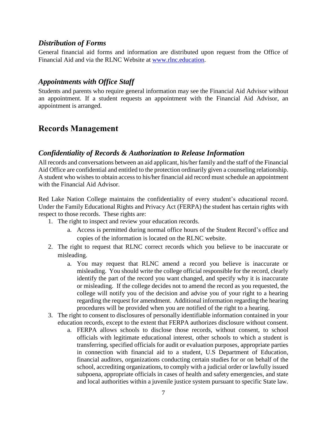#### <span id="page-6-0"></span>*Distribution of Forms*

General financial aid forms and information are distributed upon request from the Office of Financial Aid and via the RLNC Website at [www.rlnc.education.](http://www.rlnc.education/)

### <span id="page-6-1"></span>*Appointments with Office Staff*

Students and parents who require general information may see the Financial Aid Advisor without an appointment. If a student requests an appointment with the Financial Aid Advisor, an appointment is arranged.

# <span id="page-6-2"></span>**Records Management**

### <span id="page-6-3"></span>*Confidentiality of Records & Authorization to Release Information*

All records and conversations between an aid applicant, his/her family and the staff of the Financial Aid Office are confidential and entitled to the protection ordinarily given a counseling relationship. A student who wishes to obtain access to his/her financial aid record must schedule an appointment with the Financial Aid Advisor.

Red Lake Nation College maintains the confidentiality of every student's educational record. Under the Family Educational Rights and Privacy Act (FERPA) the student has certain rights with respect to those records. These rights are:

- 1. The right to inspect and review your education records.
	- a. Access is permitted during normal office hours of the Student Record's office and copies of the information is located on the RLNC website.
- 2. The right to request that RLNC correct records which you believe to be inaccurate or misleading.
	- a. You may request that RLNC amend a record you believe is inaccurate or misleading. You should write the college official responsible for the record, clearly identify the part of the record you want changed, and specify why it is inaccurate or misleading. If the college decides not to amend the record as you requested, the college will notify you of the decision and advise you of your right to a hearing regarding the request for amendment. Additional information regarding the hearing procedures will be provided when you are notified of the right to a hearing.
- 3. The right to consent to disclosures of personally identifiable information contained in your education records, except to the extent that FERPA authorizes disclosure without consent.
	- a. FERPA allows schools to disclose those records, without consent, to school officials with legitimate educational interest, other schools to which a student is transferring, specified officials for audit or evaluation purposes, appropriate parties in connection with financial aid to a student, U.S Department of Education, financial auditors, organizations conducting certain studies for or on behalf of the school, accrediting organizations, to comply with a judicial order or lawfully issued subpoena, appropriate officials in cases of health and safety emergencies, and state and local authorities within a juvenile justice system pursuant to specific State law.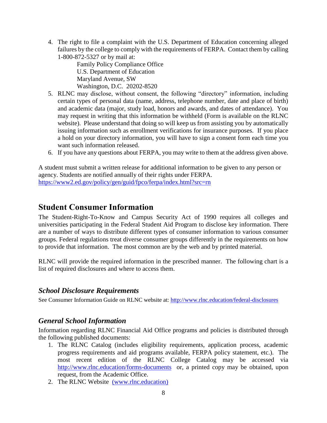4. The right to file a complaint with the U.S. Department of Education concerning alleged failures by the college to comply with the requirements of FERPA. Contact them by calling 1-800-872-5327 or by mail at:

Family Policy Compliance Office U.S. Department of Education Maryland Avenue, SW Washington, D.C. 20202-8520

- 5. RLNC may disclose, without consent, the following "directory" information, including certain types of personal data (name, address, telephone number, date and place of birth) and academic data (major, study load, honors and awards, and dates of attendance). You may request in writing that this information be withheld (Form is available on the RLNC website). Please understand that doing so will keep us from assisting you by automatically issuing information such as enrollment verifications for insurance purposes. If you place a hold on your directory information, you will have to sign a consent form each time you want such information released.
- 6. If you have any questions about FERPA, you may write to them at the address given above.

A student must submit a written release for additional information to be given to any person or agency. Students are notified annually of their rights under FERPA. <https://www2.ed.gov/policy/gen/guid/fpco/ferpa/index.html?src=rn>

# <span id="page-7-0"></span>**Student Consumer Information**

The Student-Right-To-Know and Campus Security Act of 1990 requires all colleges and universities participating in the Federal Student Aid Program to disclose key information. There are a number of ways to distribute different types of consumer information to various consumer groups. Federal regulations treat diverse consumer groups differently in the requirements on how to provide that information. The most common are by the web and by printed material.

RLNC will provide the required information in the prescribed manner. The following chart is a list of required disclosures and where to access them.

### <span id="page-7-1"></span>*School Disclosure Requirements*

See Consumer Information Guide on RLNC website at:<http://www.rlnc.education/federal-disclosures>

### <span id="page-7-2"></span>*General School Information*

Information regarding RLNC Financial Aid Office programs and policies is distributed through the following published documents:

- 1. The RLNC Catalog (includes eligibility requirements, application process, academic progress requirements and aid programs available, FERPA policy statement, etc.). The most recent edition of the RLNC College Catalog may be accessed via <http://www.rlnc.education/forms-documents> or, a printed copy may be obtained, upon request, from the Academic Office.
- 2. The RLNC Website [\(www.rlnc.education\)](http://(www.rlnc.education)/)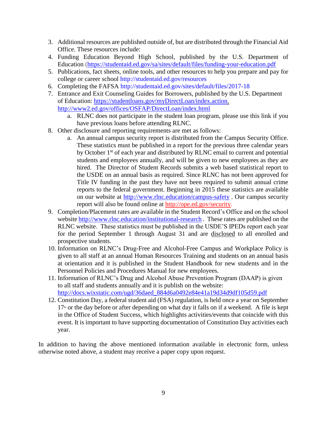- 3. Additional resources are published outside of, but are distributed through the Financial Aid Office. These resources include:
- 4. Funding Education Beyond High School, published by the U.S. Department of Education.(https://studentaid.ed.gov/sa/sites/default/files/funding-your-education.pdf
- 5. Publications, fact sheets, online tools, and other resources to help you prepare and pay for college or career school http://studentaid.ed.gov/resources
- 6. Completing the FAFSA http://studentaid.ed.gov/sites/default/files/2017-18
- 7. Entrance and Exit Counseling Guides for Borrowers, published by the U.S. Department of Education: [https://studentloans.gov/myDirectLoan/index.action.](https://studentloans.gov/myDirectLoan/index.action) <http://www2.ed.gov/offices/OSFAP/DirectLoan/index.html>
	- a. RLNC does not participate in the student loan program, please use this link if you have previous loans before attending RLNC.
- 8. Other disclosure and reporting requirements are met as follows:
	- a. An annual campus security report is distributed from the Campus Security Office. These statistics must be published in a report for the previous three calendar years by October 1<sup>st</sup> of each year and distributed by RLNC email to current and potential students and employees annually, and will be given to new employees as they are hired. The Director of Student Records submits a web based statistical report to the USDE on an annual basis as required. Since RLNC has not been approved for Title IV funding in the past they have not been required to submit annual crime reports to the federal government. Beginning in 2015 these statistics are available on our website at<http://www.rlnc.education/campus-safety> . Our campus security report will also be found online at [http://ope.ed.gov/security.](http://ope.ed.gov/security)
- 9. Completion/Placement rates are available in the Student Record's Office and on the school website<http://www.rlnc.education/institutional-research>. These rates are published on the RLNC website. These statistics must be published in the USDE'S IPEDs report each year for the period September 1 through August 31 and are disclosed to all enrolled and prospective students.
- 10. Information on RLNC's Drug-Free and Alcohol-Free Campus and Workplace Policy is given to all staff at an annual Human Resources Training and students on an annual basis at orientation and it is published in the Student Handbook for new students and in the Personnel Policies and Procedures Manual for new employees.
- 11. Information of RLNC's Drug and Alcohol Abuse Prevention Program (DAAP) is given to all staff and students annually and it is publish on the website: [http://docs.wixstatic.com/ugd/36daed\\_884d6a0492e84e41a19d34d9df105d59.pdf](http://docs.wixstatic.com/ugd/36daed_884d6a0492e84e41a19d34d9df105d59.pdf)
- 12. Constitution Day, a federal student aid (FSA) regulation, is held once a year on September  $17<sup>th</sup>$  or the day before or after depending on what day it falls on if a weekend. A file is kept in the Office of Student Success, which highlights activities/events that coincide with this event. It is important to have supporting documentation of Constitution Day activities each year.

In addition to having the above mentioned information available in electronic form, unless otherwise noted above, a student may receive a paper copy upon request.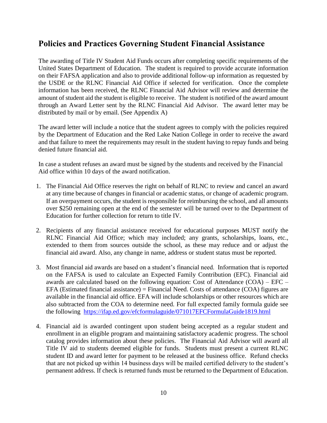# <span id="page-9-0"></span>**Policies and Practices Governing Student Financial Assistance**

The awarding of Title IV Student Aid Funds occurs after completing specific requirements of the United States Department of Education. The student is required to provide accurate information on their FAFSA application and also to provide additional follow-up information as requested by the USDE or the RLNC Financial Aid Office if selected for verification. Once the complete information has been received, the RLNC Financial Aid Advisor will review and determine the amount of student aid the student is eligible to receive. The student is notified of the award amount through an Award Letter sent by the RLNC Financial Aid Advisor. The award letter may be distributed by mail or by email. (See Appendix A)

The award letter will include a notice that the student agrees to comply with the policies required by the Department of Education and the Red Lake Nation College in order to receive the award and that failure to meet the requirements may result in the student having to repay funds and being denied future financial aid.

In case a student refuses an award must be signed by the students and received by the Financial Aid office within 10 days of the award notification.

- 1. The Financial Aid Office reserves the right on behalf of RLNC to review and cancel an award at any time because of changes in financial or academic status, or change of academic program. If an overpayment occurs, the student is responsible for reimbursing the school, and all amounts over \$250 remaining open at the end of the semester will be turned over to the Department of Education for further collection for return to title IV.
- 2. Recipients of any financial assistance received for educational purposes MUST notify the RLNC Financial Aid Office; which may included; any grants, scholarships, loans, etc., extended to them from sources outside the school, as these may reduce and or adjust the financial aid award. Also, any change in name, address or student status must be reported.
- 3. Most financial aid awards are based on a student's financial need. Information that is reported on the FAFSA is used to calculate an Expected Family Contribution (EFC). Financial aid awards are calculated based on the following equation: Cost of Attendance (COA) – EFC – EFA (Estimated financial assistance) = Financial Need. Costs of attendance (COA) figures are available in the financial aid office. EFA will include scholarships or other resources which are also subtracted from the COA to determine need. For full expected family formula guide see the following <https://ifap.ed.gov/efcformulaguide/071017EFCFormulaGuide1819.html>
- 4. Financial aid is awarded contingent upon student being accepted as a regular student and enrollment in an eligible program and maintaining satisfactory academic progress. The school catalog provides information about these policies. The Financial Aid Advisor will award all Title IV aid to students deemed eligible for funds. Students must present a current RLNC student ID and award letter for payment to be released at the business office. Refund checks that are not picked up within 14 business days will be mailed certified delivery to the student's permanent address. If check is returned funds must be returned to the Department of Education.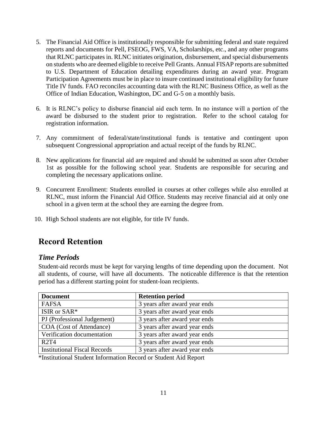- 5. The Financial Aid Office is institutionally responsible for submitting federal and state required reports and documents for Pell, FSEOG, FWS, VA, Scholarships, etc., and any other programs that RLNC participates in. RLNC initiates origination, disbursement, and special disbursements on students who are deemed eligible to receive Pell Grants. Annual FISAP reports are submitted to U.S. Department of Education detailing expenditures during an award year. Program Participation Agreements must be in place to insure continued institutional eligibility for future Title IV funds. FAO reconciles accounting data with the RLNC Business Office, as well as the Office of Indian Education, Washington, DC and G-5 on a monthly basis.
- 6. It is RLNC's policy to disburse financial aid each term. In no instance will a portion of the award be disbursed to the student prior to registration. Refer to the school catalog for registration information.
- 7. Any commitment of federal/state/institutional funds is tentative and contingent upon subsequent Congressional appropriation and actual receipt of the funds by RLNC.
- 8. New applications for financial aid are required and should be submitted as soon after October 1st as possible for the following school year. Students are responsible for securing and completing the necessary applications online.
- 9. Concurrent Enrollment: Students enrolled in courses at other colleges while also enrolled at RLNC, must inform the Financial Aid Office. Students may receive financial aid at only one school in a given term at the school they are earning the degree from.
- 10. High School students are not eligible, for title IV funds.

# <span id="page-10-0"></span>**Record Retention**

### <span id="page-10-1"></span>*Time Periods*

Student-aid records must be kept for varying lengths of time depending upon the document. Not all students, of course, will have all documents. The noticeable difference is that the retention period has a different starting point for student-loan recipients.

| <b>Document</b>                     | <b>Retention period</b>       |
|-------------------------------------|-------------------------------|
| FAFSA                               | 3 years after award year ends |
| ISIR or SAR*                        | 3 years after award year ends |
| PJ (Professional Judgement)         | 3 years after award year ends |
| COA (Cost of Attendance)            | 3 years after award year ends |
| Verification documentation          | 3 years after award year ends |
| <b>R2T4</b>                         | 3 years after award year ends |
| <b>Institutional Fiscal Records</b> | 3 years after award year ends |

\*Institutional Student Information Record or Student Aid Report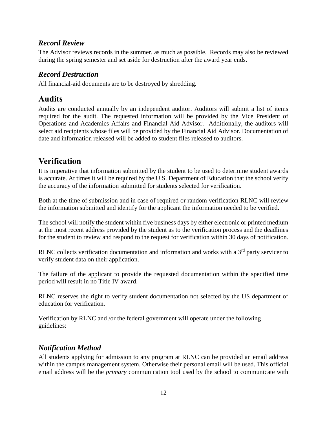### <span id="page-11-0"></span>*Record Review*

The Advisor reviews records in the summer, as much as possible. Records may also be reviewed during the spring semester and set aside for destruction after the award year ends.

### <span id="page-11-1"></span>*Record Destruction*

All financial-aid documents are to be destroyed by shredding.

# <span id="page-11-2"></span>**Audits**

Audits are conducted annually by an independent auditor. Auditors will submit a list of items required for the audit. The requested information will be provided by the Vice President of Operations and Academics Affairs and Financial Aid Advisor. Additionally, the auditors will select aid recipients whose files will be provided by the Financial Aid Advisor. Documentation of date and information released will be added to student files released to auditors.

# <span id="page-11-3"></span>**Verification**

It is imperative that information submitted by the student to be used to determine student awards is accurate. At times it will be required by the U.S. Department of Education that the school verify the accuracy of the information submitted for students selected for verification.

Both at the time of submission and in case of required or random verification RLNC will review the information submitted and identify for the applicant the information needed to be verified.

The school will notify the student within five business days by either electronic or printed medium at the most recent address provided by the student as to the verification process and the deadlines for the student to review and respond to the request for verification within 30 days of notification.

RLNC collects verification documentation and information and works with a 3<sup>rd</sup> party servicer to verify student data on their application.

The failure of the applicant to provide the requested documentation within the specified time period will result in no Title IV award.

RLNC reserves the right to verify student documentation not selected by the US department of education for verification.

Verification by RLNC and /or the federal government will operate under the following guidelines:

# <span id="page-11-4"></span>*Notification Method*

All students applying for admission to any program at RLNC can be provided an email address within the campus management system. Otherwise their personal email will be used. This official email address will be the *primary* communication tool used by the school to communicate with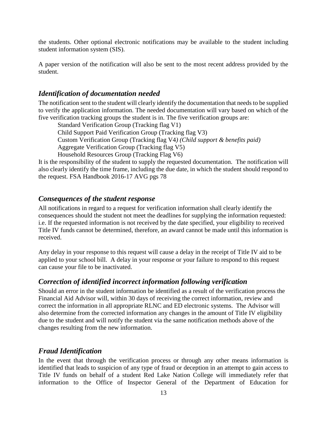the students. Other optional electronic notifications may be available to the student including student information system (SIS).

A paper version of the notification will also be sent to the most recent address provided by the student.

### <span id="page-12-0"></span>*Identification of documentation needed*

The notification sent to the student will clearly identify the documentation that needs to be supplied to verify the application information. The needed documentation will vary based on which of the five verification tracking groups the student is in. The five verification groups are:

Standard Verification Group (Tracking flag V1) Child Support Paid Verification Group (Tracking flag V3) Custom Verification Group (Tracking flag V4*) (Child support & benefits paid)* Aggregate Verification Group (Tracking flag V5) Household Resources Group (Tracking Flag V6)

It is the responsibility of the student to supply the requested documentation. The notification will also clearly identify the time frame, including the due date, in which the student should respond to the request. FSA Handbook 2016-17 AVG pgs 78

### <span id="page-12-1"></span>*Consequences of the student response*

All notifications in regard to a request for verification information shall clearly identify the consequences should the student not meet the deadlines for supplying the information requested: i.e. If the requested information is not received by the date specified, your eligibility to received Title IV funds cannot be determined, therefore, an award cannot be made until this information is received.

Any delay in your response to this request will cause a delay in the receipt of Title IV aid to be applied to your school bill. A delay in your response or your failure to respond to this request can cause your file to be inactivated.

### <span id="page-12-2"></span>*Correction of identified incorrect information following verification*

Should an error in the student information be identified as a result of the verification process the Financial Aid Advisor will, within 30 days of receiving the correct information, review and correct the information in all appropriate RLNC and ED electronic systems. The Advisor will also determine from the corrected information any changes in the amount of Title IV eligibility due to the student and will notify the student via the same notification methods above of the changes resulting from the new information.

### <span id="page-12-3"></span>*Fraud Identification*

In the event that through the verification process or through any other means information is identified that leads to suspicion of any type of fraud or deception in an attempt to gain access to Title IV funds on behalf of a student Red Lake Nation College will immediately refer that information to the Office of Inspector General of the Department of Education for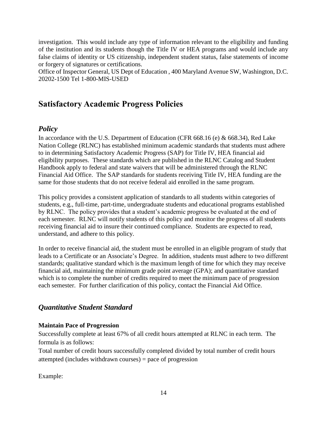investigation. This would include any type of information relevant to the eligibility and funding of the institution and its students though the Title IV or HEA programs and would include any false claims of identity or US citizenship, independent student status, false statements of income or forgery of signatures or certifications.

Office of Inspector General, US Dept of Education , 400 Maryland Avenue SW, Washington, D.C. 20202-1500 Tel 1-800-MIS-USED

# <span id="page-13-0"></span>**Satisfactory Academic Progress Policies**

### <span id="page-13-1"></span>*Policy*

In accordance with the U.S. Department of Education (CFR 668.16 (e) & 668.34), Red Lake Nation College (RLNC) has established minimum academic standards that students must adhere to in determining Satisfactory Academic Progress (SAP) for Title IV, HEA financial aid eligibility purposes. These standards which are published in the RLNC Catalog and Student Handbook apply to federal and state waivers that will be administered through the RLNC Financial Aid Office. The SAP standards for students receiving Title IV, HEA funding are the same for those students that do not receive federal aid enrolled in the same program.

This policy provides a consistent application of standards to all students within categories of students, e.g., full-time, part-time, undergraduate students and educational programs established by RLNC. The policy provides that a student's academic progress be evaluated at the end of each semester. RLNC will notify students of this policy and monitor the progress of all students receiving financial aid to insure their continued compliance. Students are expected to read, understand, and adhere to this policy.

In order to receive financial aid, the student must be enrolled in an eligible program of study that leads to a Certificate or an Associate's Degree. In addition, students must adhere to two different standards; qualitative standard which is the maximum length of time for which they may receive financial aid, maintaining the minimum grade point average (GPA); and quantitative standard which is to complete the number of credits required to meet the minimum pace of progression each semester. For further clarification of this policy, contact the Financial Aid Office.

### <span id="page-13-2"></span>*Quantitative Student Standard*

#### <span id="page-13-3"></span>**Maintain Pace of Progression**

Successfully complete at least 67% of all credit hours attempted at RLNC in each term. The formula is as follows:

Total number of credit hours successfully completed divided by total number of credit hours attempted (includes withdrawn courses) = pace of progression

Example: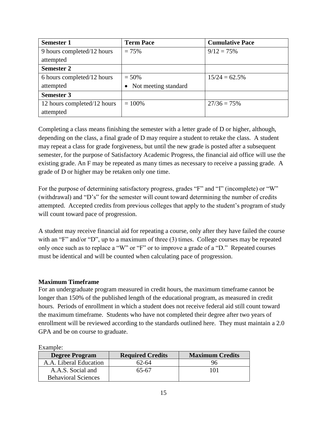| <b>Semester 1</b>           | <b>Term Pace</b>       | <b>Cumulative Pace</b> |  |
|-----------------------------|------------------------|------------------------|--|
| 9 hours completed/12 hours  | $= 75%$                | $9/12 = 75%$           |  |
| attempted                   |                        |                        |  |
| <b>Semester 2</b>           |                        |                        |  |
| 6 hours completed/12 hours  | $= 50\%$               | $15/24 = 62.5\%$       |  |
| attempted                   | • Not meeting standard |                        |  |
| <b>Semester 3</b>           |                        |                        |  |
| 12 hours completed/12 hours | $= 100\%$              | $27/36 = 75%$          |  |
| attempted                   |                        |                        |  |

Completing a class means finishing the semester with a letter grade of D or higher, although, depending on the class, a final grade of D may require a student to retake the class. A student may repeat a class for grade forgiveness, but until the new grade is posted after a subsequent semester, for the purpose of Satisfactory Academic Progress, the financial aid office will use the existing grade. An F may be repeated as many times as necessary to receive a passing grade. A grade of D or higher may be retaken only one time.

For the purpose of determining satisfactory progress, grades "F" and "I" (incomplete) or "W" (withdrawal) and "D's" for the semester will count toward determining the number of credits attempted. Accepted credits from previous colleges that apply to the student's program of study will count toward pace of progression.

A student may receive financial aid for repeating a course, only after they have failed the course with an "F" and/or "D", up to a maximum of three (3) times. College courses may be repeated only once such as to replace a "W" or "F" or to improve a grade of a "D." Repeated courses must be identical and will be counted when calculating pace of progression.

#### <span id="page-14-0"></span>**Maximum Timeframe**

For an undergraduate program measured in credit hours, the maximum timeframe cannot be longer than 150% of the published length of the educational program, as measured in credit hours. Periods of enrollment in which a student does not receive federal aid still count toward the maximum timeframe. Students who have not completed their degree after two years of enrollment will be reviewed according to the standards outlined here. They must maintain a 2.0 GPA and be on course to graduate.

| <b>LAUTHOL</b> .           |                         |                        |  |
|----------------------------|-------------------------|------------------------|--|
| <b>Degree Program</b>      | <b>Required Credits</b> | <b>Maximum Credits</b> |  |
| A.A. Liberal Education     | 62-64                   |                        |  |
| A.A.S. Social and          | 65-67                   | 101                    |  |
| <b>Behavioral Sciences</b> |                         |                        |  |

Example: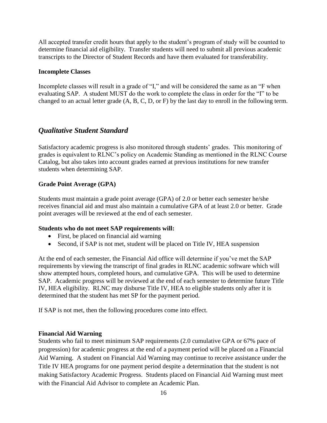All accepted transfer credit hours that apply to the student's program of study will be counted to determine financial aid eligibility. Transfer students will need to submit all previous academic transcripts to the Director of Student Records and have them evaluated for transferability.

#### <span id="page-15-0"></span>**Incomplete Classes**

Incomplete classes will result in a grade of "I," and will be considered the same as an "F when evaluating SAP. A student MUST do the work to complete the class in order for the "I" to be changed to an actual letter grade (A, B, C, D, or F) by the last day to enroll in the following term.

### <span id="page-15-1"></span>*Qualitative Student Standard*

Satisfactory academic progress is also monitored through students' grades. This monitoring of grades is equivalent to RLNC's policy on Academic Standing as mentioned in the RLNC Course Catalog, but also takes into account grades earned at previous institutions for new transfer students when determining SAP.

#### <span id="page-15-2"></span>**Grade Point Average (GPA)**

Students must maintain a grade point average (GPA) of 2.0 or better each semester he/she receives financial aid and must also maintain a cumulative GPA of at least 2.0 or better. Grade point averages will be reviewed at the end of each semester.

#### <span id="page-15-3"></span>**Students who do not meet SAP requirements will:**

- First, be placed on financial aid warning
- Second, if SAP is not met, student will be placed on Title IV, HEA suspension

At the end of each semester, the Financial Aid office will determine if you've met the SAP requirements by viewing the transcript of final grades in RLNC academic software which will show attempted hours, completed hours, and cumulative GPA. This will be used to determine SAP. Academic progress will be reviewed at the end of each semester to determine future Title IV, HEA eligibility. RLNC may disburse Title IV, HEA to eligible students only after it is determined that the student has met SP for the payment period.

If SAP is not met, then the following procedures come into effect.

#### <span id="page-15-4"></span>**Financial Aid Warning**

Students who fail to meet minimum SAP requirements (2.0 cumulative GPA or 67% pace of progression) for academic progress at the end of a payment period will be placed on a Financial Aid Warning. A student on Financial Aid Warning may continue to receive assistance under the Title IV HEA programs for one payment period despite a determination that the student is not making Satisfactory Academic Progress. Students placed on Financial Aid Warning must meet with the Financial Aid Advisor to complete an Academic Plan.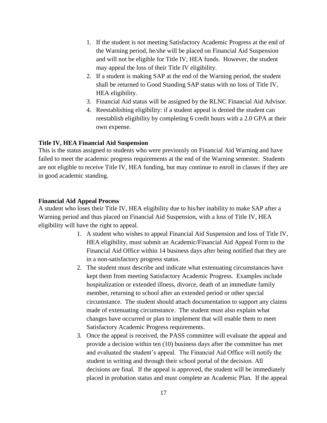- 1. If the student is not meeting Satisfactory Academic Progress at the end of the Warning period, he/she will be placed on Financial Aid Suspension and will not be eligible for Title IV, HEA funds. However, the student may appeal the loss of their Title IV eligibility.
- 2. If a student is making SAP at the end of the Warning period, the student shall be returned to Good Standing SAP status with no loss of Title IV, HEA eligibility.
- 3. Financial Aid status will be assigned by the RLNC Financial Aid Advisor.
- 4. Reestablishing eligibility: if a student appeal is denied the student can reestablish eligibility by completing 6 credit hours with a 2.0 GPA at their own expense.

#### <span id="page-16-0"></span>**Title IV, HEA Financial Aid Suspension**

This is the status assigned to students who were previously on Financial Aid Warning and have failed to meet the academic progress requirements at the end of the Warning semester. Students are not eligible to receive Title IV, HEA funding, but may continue to enroll in classes if they are in good academic standing.

#### <span id="page-16-1"></span>**Financial Aid Appeal Process**

A student who loses their Title IV, HEA eligibility due to his/her inability to make SAP after a Warning period and thus placed on Financial Aid Suspension, with a loss of Title IV, HEA eligibility will have the right to appeal.

- 1. A student who wishes to appeal Financial Aid Suspension and loss of Title IV, HEA eligibility, must submit an Academic/Financial Aid Appeal Form to the Financial Aid Office within 14 business days after being notified that they are in a non-satisfactory progress status.
- 2. The student must describe and indicate what extenuating circumstances have kept them from meeting Satisfactory Academic Progress. Examples include hospitalization or extended illness, divorce, death of an immediate family member, returning to school after an extended period or other special circumstance. The student should attach documentation to support any claims made of extenuating circumstance. The student must also explain what changes have occurred or plan to implement that will enable them to meet Satisfactory Academic Progress requirements.
- 3. Once the appeal is received, the PASS committee will evaluate the appeal and provide a decision within ten (10) business days after the committee has met and evaluated the student's appeal. The Financial Aid Office will notify the student in writing and through their school portal of the decision. All decisions are final. If the appeal is approved, the student will be immediately placed in probation status and must complete an Academic Plan. If the appeal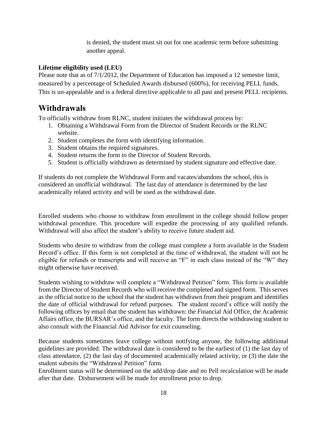is denied, the student must sit out for one academic term before submitting another appeal.

#### <span id="page-17-0"></span>**Lifetime eligibility used (LEU)**

Please note that as of 7/1/2012, the Department of Education has imposed a 12 semester limit, measured by a percentage of Scheduled Awards disbursed (600%), for receiving PELL funds. This is un-appealable and is a federal directive applicable to all past and present PELL recipients.

# <span id="page-17-1"></span>**Withdrawals**

To officially withdraw from RLNC, student initiates the withdrawal process by:

- 1. Obtaining a Withdrawal Form from the Director of Student Records or the RLNC website.
- 2. Student completes the form with identifying information.
- 3. Student obtains the required signatures.
- 4. Student returns the form to the Director of Student Records.
- 5. Student is officially withdrawn as determined by student signature and effective date.

If students do not complete the Withdrawal Form and vacates/abandons the school, this is considered an unofficial withdrawal. The last day of attendance is determined by the last academically related activity and will be used as the withdrawal date.

Enrolled students who choose to withdraw from enrollment in the college should follow proper withdrawal procedure. This procedure will expedite the processing of any qualified refunds. Withdrawal will also affect the student's ability to receive future student aid.

Students who desire to withdraw from the college must complete a form available in the Student Record's office. If this form is not completed at the time of withdrawal, the student will not be eligible for refunds or transcripts and will receive an "F" in each class instead of the "W" they might otherwise have received.

Students wishing to withdraw will complete a "Withdrawal Petition" form. This form is available from the Director of Student Records who will receive the completed and signed form. This serves as the official notice to the school that the student has withdrawn from their program and identifies the date of official withdrawal for refund purposes. The student record's office will notify the following offices by email that the student has withdrawn: the Financial Aid Office, the Academic Affairs office, the BURSAR's office, and the faculty. The form directs the withdrawing student to also consult with the Financial Aid Advisor for exit counseling.

Because students sometimes leave college without notifying anyone, the following additional guidelines are provided. The withdrawal date is considered to be the earliest of (1) the last day of class attendance, (2) the last day of documented academically related activity, or (3) the date the student submits the "Withdrawal Petition" form.

Enrollment status will be determined on the add/drop date and no Pell recalculation will be made after that date. Disbursement will be made for enrollment prior to drop.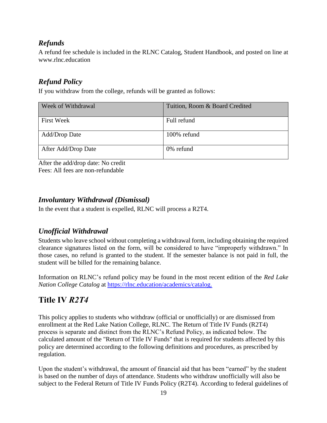# <span id="page-18-0"></span>*Refunds*

A refund fee schedule is included in the RLNC Catalog, Student Handbook, and posted on line at www.rlnc.education

# <span id="page-18-1"></span>*Refund Policy*

If you withdraw from the college, refunds will be granted as follows:

| Week of Withdrawal   | Tuition, Room & Board Credited |
|----------------------|--------------------------------|
| <b>First Week</b>    | Full refund                    |
| <b>Add/Drop Date</b> | 100% refund                    |
| After Add/Drop Date  | 0% refund                      |

After the add/drop date: No credit Fees: All fees are non-refundable

# <span id="page-18-2"></span>*Involuntary Withdrawal (Dismissal)*

In the event that a student is expelled, RLNC will process a R2T4.

# <span id="page-18-3"></span>*Unofficial Withdrawal*

Students who leave school without completing a withdrawal form, including obtaining the required clearance signatures listed on the form, will be considered to have "improperly withdrawn." In those cases, no refund is granted to the student. If the semester balance is not paid in full, the student will be billed for the remaining balance.

Information on RLNC's refund policy may be found in the most recent edition of the *Red Lake Nation College Catalog* at [https://rlnc.education/academics/catalog.](https://rlnc.education/academics/catalog)

# <span id="page-18-4"></span>**Title IV** *R2T4*

This policy applies to students who withdraw (official or unofficially) or are dismissed from enrollment at the Red Lake Nation College, RLNC. The Return of Title IV Funds (R2T4) process is separate and distinct from the RLNC's Refund Policy, as indicated below. The calculated amount of the "Return of Title IV Funds" that is required for students affected by this policy are determined according to the following definitions and procedures, as prescribed by regulation.

Upon the student's withdrawal, the amount of financial aid that has been "earned" by the student is based on the number of days of attendance. Students who withdraw unofficially will also be subject to the Federal Return of Title IV Funds Policy (R2T4). According to federal guidelines of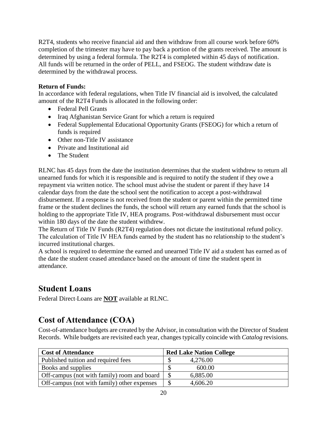R2T4, students who receive financial aid and then withdraw from all course work before 60% completion of the trimester may have to pay back a portion of the grants received. The amount is determined by using a federal formula. The R2T4 is completed within 45 days of notification. All funds will be returned in the order of PELL, and FSEOG. The student withdraw date is determined by the withdrawal process.

#### **Return of Funds:**

In accordance with federal regulations, when Title IV financial aid is involved, the calculated amount of the R2T4 Funds is allocated in the following order:

- Federal Pell Grants
- Iraq Afghanistan Service Grant for which a return is required
- Federal Supplemental Educational Opportunity Grants (FSEOG) for which a return of funds is required
- Other non-Title IV assistance
- Private and Institutional aid
- The Student

RLNC has 45 days from the date the institution determines that the student withdrew to return all unearned funds for which it is responsible and is required to notify the student if they owe a repayment via written notice. The school must advise the student or parent if they have 14 calendar days from the date the school sent the notification to accept a post-withdrawal disbursement. If a response is not received from the student or parent within the permitted time frame or the student declines the funds, the school will return any earned funds that the school is holding to the appropriate Title IV, HEA programs. Post-withdrawal disbursement must occur within 180 days of the date the student withdrew.

The Return of Title IV Funds (R2T4) regulation does not dictate the institutional refund policy. The calculation of Title IV HEA funds earned by the student has no relationship to the student's incurred institutional charges.

A school is required to determine the earned and unearned Title IV aid a student has earned as of the date the student ceased attendance based on the amount of time the student spent in attendance.

# <span id="page-19-0"></span>**Student Loans**

Federal Direct Loans are **NOT** available at RLNC.

# <span id="page-19-1"></span>**Cost of Attendance (COA)**

Cost-of-attendance budgets are created by the Advisor, in consultation with the Director of Student Records. While budgets are revisited each year, changes typically coincide with *Catalog* revisions.

| <b>Cost of Attendance</b>                   | <b>Red Lake Nation College</b> |
|---------------------------------------------|--------------------------------|
| Published tuition and required fees         | 4,276.00                       |
| Books and supplies                          | 600.00                         |
| Off-campus (not with family) room and board | 6,885.00                       |
| Off-campus (not with family) other expenses | 4,606.20                       |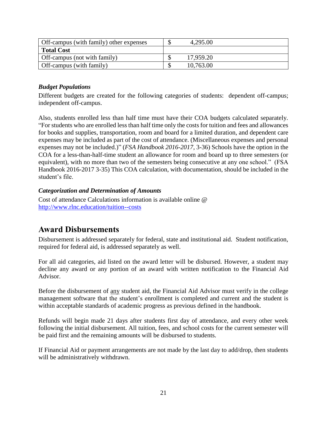| Off-campus (with family) other expenses | 4,295.00  |
|-----------------------------------------|-----------|
| <b>Total Cost</b>                       |           |
| Off-campus (not with family)            | 17,959.20 |
| Off-campus (with family)                | 10,763.00 |

#### <span id="page-20-0"></span>*Budget Populations*

Different budgets are created for the following categories of students: dependent off-campus; independent off-campus.

Also, students enrolled less than half time must have their COA budgets calculated separately. "For students who are enrolled less than half time only the costs for tuition and fees and allowances for books and supplies, transportation, room and board for a limited duration, and dependent care expenses may be included as part of the cost of attendance. (Miscellaneous expenses and personal expenses may not be included.)" (*FSA Handbook 2016-2017*, 3-36) Schools have the option in the COA for a less-than-half-time student an allowance for room and board up to three semesters (or equivalent), with no more than two of the semesters being consecutive at any one school." (FSA Handbook 2016-2017 3-35) This COA calculation, with documentation, should be included in the student's file.

#### <span id="page-20-1"></span>*Categorization and Determination of Amounts*

Cost of attendance Calculations information is available online @ <http://www.rlnc.education/tuition--costs>

# <span id="page-20-2"></span>**Award Disbursements**

Disbursement is addressed separately for federal, state and institutional aid. Student notification, required for federal aid, is addressed separately as well.

For all aid categories, aid listed on the award letter will be disbursed. However, a student may decline any award or any portion of an award with written notification to the Financial Aid Advisor.

Before the disbursement of any student aid, the Financial Aid Advisor must verify in the college management software that the student's enrollment is completed and current and the student is within acceptable standards of academic progress as previous defined in the handbook.

Refunds will begin made 21 days after students first day of attendance, and every other week following the initial disbursement. All tuition, fees, and school costs for the current semester will be paid first and the remaining amounts will be disbursed to students.

If Financial Aid or payment arrangements are not made by the last day to add/drop, then students will be administratively withdrawn.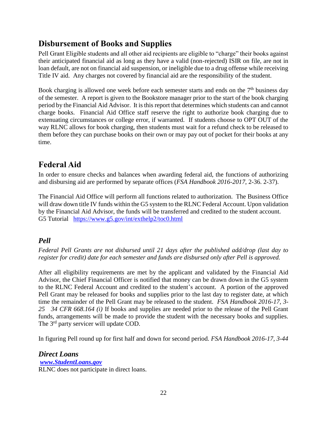# <span id="page-21-0"></span>**Disbursement of Books and Supplies**

Pell Grant Eligible students and all other aid recipients are eligible to "charge" their books against their anticipated financial aid as long as they have a valid (non-rejected) ISIR on file, are not in loan default, are not on financial aid suspension, or ineligible due to a drug offense while receiving Title IV aid. Any charges not covered by financial aid are the responsibility of the student.

Book charging is allowed one week before each semester starts and ends on the  $7<sup>th</sup>$  business day of the semester. A report is given to the Bookstore manager prior to the start of the book charging period by the Financial Aid Advisor. It is this report that determines which students can and cannot charge books. Financial Aid Office staff reserve the right to authorize book charging due to extenuating circumstances or college error, if warranted. If students choose to OPT OUT of the way RLNC allows for book charging, then students must wait for a refund check to be released to them before they can purchase books on their own or may pay out of pocket for their books at any time.

# <span id="page-21-1"></span>**Federal Aid**

In order to ensure checks and balances when awarding federal aid, the functions of authorizing and disbursing aid are performed by separate offices (*FSA Handbook 2016-2017*, 2-36. 2-37).

The Financial Aid Office will perform all functions related to authorization. The Business Office will draw down title IV funds within the G5 system to the RLNC Federal Account. Upon validation by the Financial Aid Advisor, the funds will be transferred and credited to the student account. G5 Tutorial <https://www.g5.gov/int/exthelp2/toc0.html>

# <span id="page-21-2"></span>*Pell*

*Federal Pell Grants are not disbursed until 21 days after the published add/drop (last day to register for credit) date for each semester and funds are disbursed only after Pell is approved.*

After all eligibility requirements are met by the applicant and validated by the Financial Aid Advisor, the Chief Financial Officer is notified that money can be drawn down in the G5 system to the RLNC Federal Account and credited to the student's account. A portion of the approved Pell Grant may be released for books and supplies prior to the last day to register date, at which time the remainder of the Pell Grant may be released to the student. *FSA Handbook 2016-17, 3- 25 34 CFR 668.164 (i)* If books and supplies are needed prior to the release of the Pell Grant funds, arrangements will be made to provide the student with the necessary books and supplies. The 3<sup>rd</sup> party servicer will update COD.

In figuring Pell round up for first half and down for second period. *FSA Handbook 2016-17, 3-44*

<span id="page-21-3"></span>*Direct Loans [www.StudentLoans.gov](file:///C:/Documents%20and%20Settings/irundell/Local%20Settings/Temp/www.StudentLoans.gov)* RLNC does not participate in direct loans.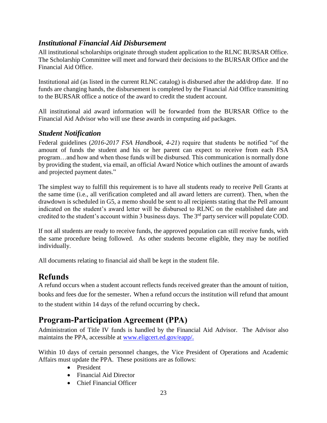### <span id="page-22-0"></span>*Institutional Financial Aid Disbursement*

All institutional scholarships originate through student application to the RLNC BURSAR Office. The Scholarship Committee will meet and forward their decisions to the BURSAR Office and the Financial Aid Office.

Institutional aid (as listed in the current RLNC catalog) is disbursed after the add/drop date. If no funds are changing hands, the disbursement is completed by the Financial Aid Office transmitting to the BURSAR office a notice of the award to credit the student account.

All institutional aid award information will be forwarded from the BURSAR Office to the Financial Aid Advisor who will use these awards in computing aid packages.

### <span id="page-22-1"></span>*Student Notification*

Federal guidelines (*2016-2017 FSA Handbook, 4-21*) require that students be notified "of the amount of funds the student and his or her parent can expect to receive from each FSA program…and how and when those funds will be disbursed. This communication is normally done by providing the student, via email, an official Award Notice which outlines the amount of awards and projected payment dates."

The simplest way to fulfill this requirement is to have all students ready to receive Pell Grants at the same time (i.e., all verification completed and all award letters are current). Then, when the drawdown is scheduled in G5, a memo should be sent to all recipients stating that the Pell amount indicated on the student's award letter will be disbursed to RLNC on the established date and credited to the student's account within 3 business days. The 3rd party servicer will populate COD.

If not all students are ready to receive funds, the approved population can still receive funds, with the same procedure being followed. As other students become eligible, they may be notified individually.

All documents relating to financial aid shall be kept in the student file.

# <span id="page-22-2"></span>**Refunds**

A refund occurs when a student account reflects funds received greater than the amount of tuition, books and fees due for the semester. When a refund occurs the institution will refund that amount to the student within 14 days of the refund occurring by check.

# <span id="page-22-3"></span>**Program-Participation Agreement (PPA)**

Administration of Title IV funds is handled by the Financial Aid Advisor. The Advisor also maintains the PPA, accessible at [www.eligcert.ed.gov/eapp/.](file:///C:/Users/harryw/AppData/Local/Microsoft/Windows/Temporary%20Internet%20Files/Content.Outlook/ZOPHBSBE/www.eligcert.ed.gov/eapp/)

Within 10 days of certain personnel changes, the Vice President of Operations and Academic Affairs must update the PPA. These positions are as follows:

- **•** President
- Financial Aid Director
- Chief Financial Officer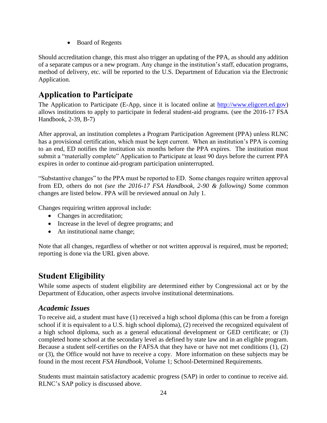• Board of Regents

Should accreditation change, this must also trigger an updating of the PPA, as should any addition of a separate campus or a new program. Any change in the institution's staff, education programs, method of delivery, etc. will be reported to the U.S. Department of Education via the Electronic Application.

# <span id="page-23-0"></span>**Application to Participate**

The Application to Participate (E-App, since it is located online at [http://www.eligcert.ed.gov\)](http://www.eligcert.ed.gov/) allows institutions to apply to participate in federal student-aid programs. (see the 2016-17 FSA Handbook, 2-39, B-7)

After approval, an institution completes a Program Participation Agreement (PPA) unless RLNC has a provisional certification, which must be kept current. When an institution's PPA is coming to an end, ED notifies the institution six months before the PPA expires. The institution must submit a "materially complete" Application to Participate at least 90 days before the current PPA expires in order to continue aid-program participation uninterrupted.

"Substantive changes" to the PPA must be reported to ED. Some changes require written approval from ED, others do not *(see the 2016-17 FSA Handbook, 2-90 & following)* Some common changes are listed below. PPA will be reviewed annual on July 1.

Changes requiring written approval include:

- Changes in accreditation;
- Increase in the level of degree programs; and
- An institutional name change;

Note that all changes, regardless of whether or not written approval is required, must be reported; reporting is done via the URL given above.

# <span id="page-23-1"></span>**Student Eligibility**

While some aspects of student eligibility are determined either by Congressional act or by the Department of Education, other aspects involve institutional determinations.

# <span id="page-23-2"></span>*Academic Issues*

To receive aid, a student must have (1) received a high school diploma (this can be from a foreign school if it is equivalent to a U.S. high school diploma), (2) received the recognized equivalent of a high school diploma, such as a general educational development or GED certificate; or (3) completed home school at the secondary level as defined by state law and in an eligible program. Because a student self-certifies on the FAFSA that they have or have not met conditions (1), (2) or (3), the Office would not have to receive a copy. More information on these subjects may be found in the most recent *FSA Handbook*, Volume 1; School-Determined Requirements.

Students must maintain satisfactory academic progress (SAP) in order to continue to receive aid. RLNC's SAP policy is discussed above.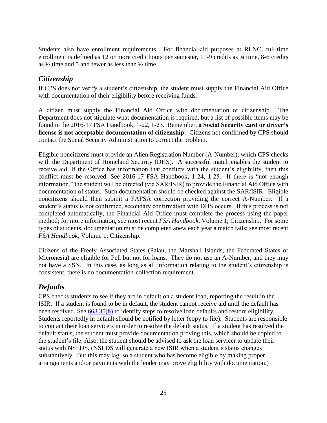Students also have enrollment requirements. For financial-aid purposes at RLNC, full-time enrollment is defined as 12 or more credit hours per semester, 11-9 credits as ¾ time, 8-6 credits as  $\frac{1}{2}$  time and 5 and fewer as less than  $\frac{1}{2}$  time.

# <span id="page-24-0"></span>*Citizenship*

If CPS does not verify a student's citizenship, the student must supply the Financial Aid Office with documentation of their eligibility before receiving funds.

A citizen must supply the Financial Aid Office with documentation of citizenship. The Department does not stipulate what documentation is required, but a list of possible items may be found in the 2016-17 FSA Handbook, 1-22, 1-23. Remember, **a Social Security card or driver's license is not acceptable documentation of citizenship**. Citizens not confirmed by CPS should contact the Social Security Administration to correct the problem.

Eligible noncitizens must provide an Alien Registration Number (A-Number), which CPS checks with the Department of Homeland Security (DHS). A successful match enables the student to receive aid. If the Office has information that conflicts with the student's eligibility, then this conflict must be resolved. See 2016-17 FSA Handbook, 1-24, 1-25. If there is "not enough information," the student will be directed (via SAR/ISIR) to provide the Financial Aid Office with documentation of status. Such documentation should be checked against the SAR/ISIR. Eligible noncitizens should then submit a FAFSA correction providing the correct A-Number. If a student's status is not confirmed, secondary confirmation with DHS occurs. If this process is not completed automatically, the Financial Aid Office must complete the process using the paper method; for more information, see most recent *FSA Handbook*, Volume 1; Citizenship. For some types of students, documentation must be completed anew each year a match fails; see most recent *FSA Handbook*, Volume 1; Citizenship.

Citizens of the Freely Associated States (Palau, the Marshall Islands, the Federated States of Micronesia) are eligible for Pell but not for loans. They do not use an A-Number, and they may not have a SSN. In this case, as long as all information relating to the student's citizenship is consistent, there is no documentation-collection requirement.

### <span id="page-24-1"></span>*Defaults*

CPS checks students to see if they are in default on a student loan, reporting the result in the ISIR. If a student is found to be in default, the student cannot receive aid until the default has been resolved. See [668.35\(b\)](http://www.law.cornell.edu/cfr/text/34/668.35#b) to identify steps to resolve loan defaults and restore eligibility. Students reportedly in default should be notified by letter (copy to file). Students are responsible to contact their loan servicers in order to resolve the default status. If a student has resolved the default status, the student must provide documentation proving this, which should be copied to the student's file. Also, the student should be advised to ask the loan servicer to update their status with NSLDS. (NSLDS will generate a new ISIR when a student's status changes substantively. But this may lag, so a student who has become eligible by making proper arrangements and/or payments with the lender may prove eligibility with documentation.)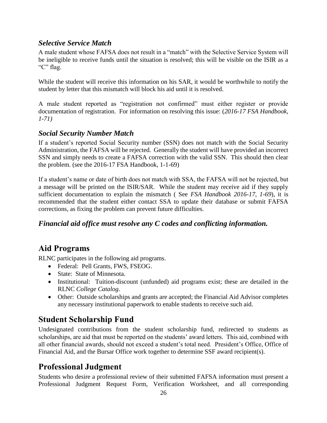### <span id="page-25-0"></span>*Selective Service Match*

A male student whose FAFSA does not result in a "match" with the Selective Service System will be ineligible to receive funds until the situation is resolved; this will be visible on the ISIR as a "C" flag.

While the student will receive this information on his SAR, it would be worthwhile to notify the student by letter that this mismatch will block his aid until it is resolved.

A male student reported as "registration not confirmed" must either register or provide documentation of registration. For information on resolving this issue: (*2016-17 FSA Handbook, 1-71)*

# <span id="page-25-1"></span>*Social Security Number Match*

If a student's reported Social Security number (SSN) does not match with the Social Security Administration, the FAFSA will be rejected. Generally the student will have provided an incorrect SSN and simply needs to create a FAFSA correction with the valid SSN. This should then clear the problem. (see the 2016-17 FSA Handbook, 1-1-69)

If a student's name or date of birth does not match with SSA, the FAFSA will not be rejected, but a message will be printed on the ISIR/SAR. While the student may receive aid if they supply sufficient documentation to explain the mismatch ( See *FSA Handbook 2016-17, 1-69*), it is recommended that the student either contact SSA to update their database or submit FAFSA corrections, as fixing the problem can prevent future difficulties.

### <span id="page-25-2"></span>*Financial aid office must resolve any C codes and conflicting information.*

# <span id="page-25-3"></span>**Aid Programs**

RLNC participates in the following aid programs.

- Federal: Pell Grants, FWS, FSEOG.
- State: State of Minnesota.
- Institutional: Tuition-discount (unfunded) aid programs exist; these are detailed in the RLNC *College Catalog*.
- Other: Outside scholarships and grants are accepted; the Financial Aid Advisor completes any necessary institutional paperwork to enable students to receive such aid.

# <span id="page-25-4"></span>**Student Scholarship Fund**

Undesignated contributions from the student scholarship fund, redirected to students as scholarships, are aid that must be reported on the students' award letters. This aid, combined with all other financial awards, should not exceed a student's total need. President's Office, Office of Financial Aid, and the Bursar Office work together to determine SSF award recipient(s).

# <span id="page-25-5"></span>**Professional Judgment**

Students who desire a professional review of their submitted FAFSA information must present a Professional Judgment Request Form, Verification Worksheet, and all corresponding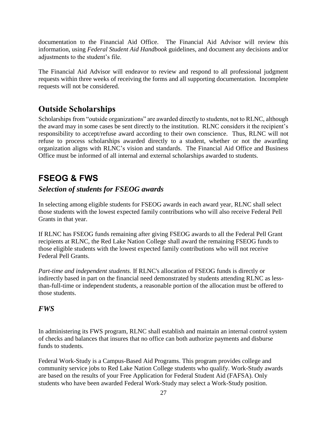documentation to the Financial Aid Office. The Financial Aid Advisor will review this information, using *Federal Student Aid Handbook* guidelines, and document any decisions and/or adjustments to the student's file.

The Financial Aid Advisor will endeavor to review and respond to all professional judgment requests within three weeks of receiving the forms and all supporting documentation. Incomplete requests will not be considered.

# <span id="page-26-0"></span>**Outside Scholarships**

Scholarships from "outside organizations" are awarded directly to students, not to RLNC, although the award may in some cases be sent directly to the institution. RLNC considers it the recipient's responsibility to accept/refuse award according to their own conscience. Thus, RLNC will not refuse to process scholarships awarded directly to a student, whether or not the awarding organization aligns with RLNC's vision and standards. The Financial Aid Office and Business Office must be informed of all internal and external scholarships awarded to students.

# <span id="page-26-1"></span>**FSEOG & FWS**

# *Selection of students for FSEOG awards*

In selecting among eligible students for FSEOG awards in each award year, RLNC shall select those students with the lowest expected family contributions who will also receive Federal Pell Grants in that year.

If RLNC has FSEOG funds remaining after giving FSEOG awards to all the Federal Pell Grant recipients at RLNC, the Red Lake Nation College shall award the remaining FSEOG funds to those eligible students with the lowest expected family contributions who will not receive Federal Pell Grants.

*Part-time and independent students.* If RLNC's allocation of FSEOG funds is directly or indirectly based in part on the financial need demonstrated by students attending RLNC as lessthan-full-time or independent students, a reasonable portion of the allocation must be offered to those students.

### *FWS*

In administering its FWS program, RLNC shall establish and maintain an internal control system of checks and balances that insures that no office can both authorize payments and disburse funds to students.

Federal Work-Study is a Campus-Based Aid Programs. This program provides college and community service jobs to Red Lake Nation College students who qualify. Work-Study awards are based on the results of your Free Application for Federal Student Aid (FAFSA). Only students who have been awarded Federal Work-Study may select a Work-Study position.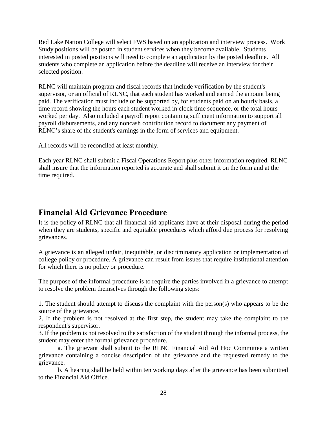Red Lake Nation College will select FWS based on an application and interview process. Work Study positions will be posted in student services when they become available. Students interested in posted positions will need to complete an application by the posted deadline. All students who complete an application before the deadline will receive an interview for their selected position.

RLNC will maintain program and fiscal records that include verification by the student's supervisor, or an official of RLNC, that each student has worked and earned the amount being paid. The verification must include or be supported by, for students paid on an hourly basis, a time record showing the hours each student worked in clock time sequence, or the total hours worked per day. Also included a payroll report containing sufficient information to support all payroll disbursements, and any noncash contribution record to document any payment of RLNC's share of the student's earnings in the form of services and equipment.

All records will be reconciled at least monthly.

Each year RLNC shall submit a Fiscal Operations Report plus other information required. RLNC shall insure that the information reported is accurate and shall submit it on the form and at the time required.

# <span id="page-27-0"></span>**Financial Aid Grievance Procedure**

It is the policy of RLNC that all financial aid applicants have at their disposal during the period when they are students, specific and equitable procedures which afford due process for resolving grievances.

A grievance is an alleged unfair, inequitable, or discriminatory application or implementation of college policy or procedure. A grievance can result from issues that require institutional attention for which there is no policy or procedure.

The purpose of the informal procedure is to require the parties involved in a grievance to attempt to resolve the problem themselves through the following steps:

1. The student should attempt to discuss the complaint with the person(s) who appears to be the source of the grievance.

2. If the problem is not resolved at the first step, the student may take the complaint to the respondent's supervisor.

3. If the problem is not resolved to the satisfaction of the student through the informal process, the student may enter the formal grievance procedure.

a. The grievant shall submit to the RLNC Financial Aid Ad Hoc Committee a written grievance containing a concise description of the grievance and the requested remedy to the grievance.

b. A hearing shall be held within ten working days after the grievance has been submitted to the Financial Aid Office.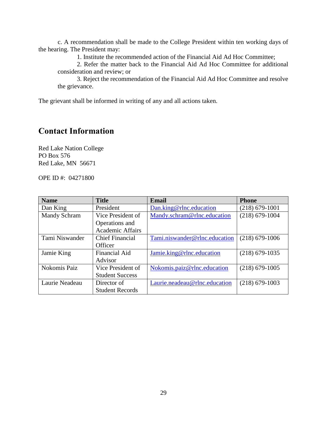c. A recommendation shall be made to the College President within ten working days of the hearing. The President may:

1. Institute the recommended action of the Financial Aid Ad Hoc Committee;

2. Refer the matter back to the Financial Aid Ad Hoc Committee for additional consideration and review; or

3. Reject the recommendation of the Financial Aid Ad Hoc Committee and resolve the grievance.

The grievant shall be informed in writing of any and all actions taken.

# <span id="page-28-0"></span>**Contact Information**

Red Lake Nation College PO Box 576 Red Lake, MN 56671

OPE ID #: 04271800

| <b>Name</b>    | <b>Title</b>            | <b>Email</b>                  | <b>Phone</b>       |
|----------------|-------------------------|-------------------------------|--------------------|
| Dan King       | President               | Dan.king@rlnc.education       | $(218)$ 679-1001   |
| Mandy Schram   | Vice President of       | Mandy.schram@rlnc.education   | $(218) 679 - 1004$ |
|                | Operations and          |                               |                    |
|                | <b>Academic Affairs</b> |                               |                    |
| Tami Niswander | <b>Chief Financial</b>  | Tami.niswander@rlnc.education | $(218)$ 679-1006   |
|                | Officer                 |                               |                    |
| Jamie King     | <b>Financial Aid</b>    | Jamie.king@rlnc.education     | $(218)$ 679-1035   |
|                | Advisor                 |                               |                    |
| Nokomis Paiz   | Vice President of       | Nokomis.paiz@rlnc.education   | $(218)$ 679-1005   |
|                | <b>Student Success</b>  |                               |                    |
| Laurie Neadeau | Director of             | Laurie.neadeau@rlnc.education | $(218)$ 679-1003   |
|                | <b>Student Records</b>  |                               |                    |